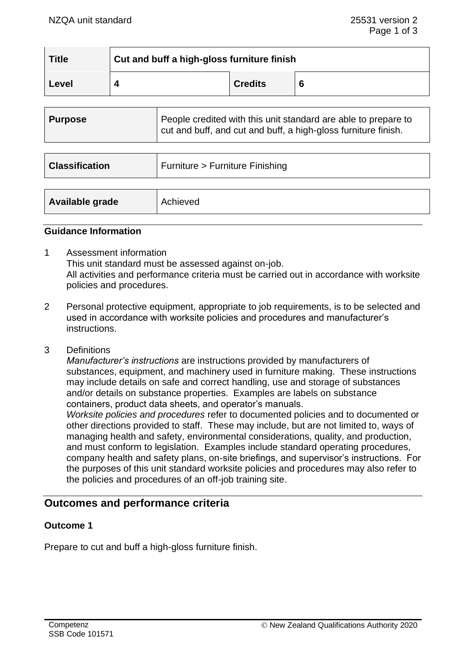| <b>Title</b> | Cut and buff a high-gloss furniture finish |                |   |  |
|--------------|--------------------------------------------|----------------|---|--|
| Level        |                                            | <b>Credits</b> | 6 |  |

| <b>Purpose</b>        | People credited with this unit standard are able to prepare to<br>cut and buff, and cut and buff, a high-gloss furniture finish. |  |
|-----------------------|----------------------------------------------------------------------------------------------------------------------------------|--|
|                       |                                                                                                                                  |  |
| <b>Classification</b> | Furniture > Furniture Finishing                                                                                                  |  |
|                       |                                                                                                                                  |  |
| Available grade       | Achieved                                                                                                                         |  |

#### **Guidance Information**

- 1 Assessment information This unit standard must be assessed against on-job. All activities and performance criteria must be carried out in accordance with worksite policies and procedures.
- 2 Personal protective equipment, appropriate to job requirements, is to be selected and used in accordance with worksite policies and procedures and manufacturer's instructions.
- 3 Definitions

*Manufacturer's instructions* are instructions provided by manufacturers of substances, equipment, and machinery used in furniture making. These instructions may include details on safe and correct handling, use and storage of substances and/or details on substance properties. Examples are labels on substance containers, product data sheets, and operator's manuals.

*Worksite policies and procedures* refer to documented policies and to documented or other directions provided to staff. These may include, but are not limited to, ways of managing health and safety, environmental considerations, quality, and production, and must conform to legislation. Examples include standard operating procedures, company health and safety plans, on-site briefings, and supervisor's instructions. For the purposes of this unit standard worksite policies and procedures may also refer to the policies and procedures of an off-job training site.

## **Outcomes and performance criteria**

### **Outcome 1**

Prepare to cut and buff a high-gloss furniture finish.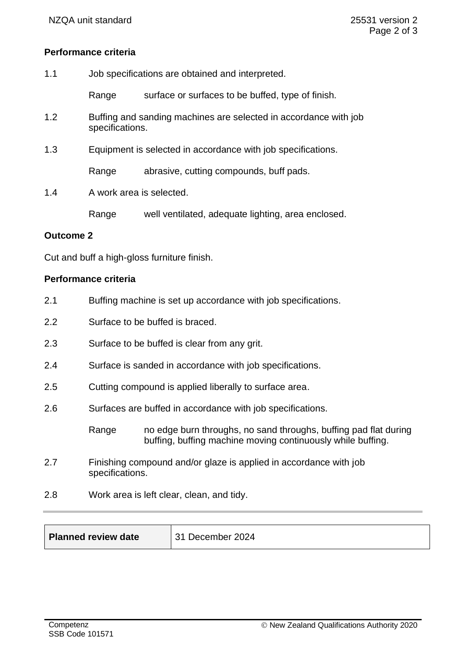### **Performance criteria**

| 1.1 | Job specifications are obtained and interpreted.             |                                                                  |  |
|-----|--------------------------------------------------------------|------------------------------------------------------------------|--|
|     | Range                                                        | surface or surfaces to be buffed, type of finish.                |  |
| 1.2 | specifications.                                              | Buffing and sanding machines are selected in accordance with job |  |
| 1.3 | Equipment is selected in accordance with job specifications. |                                                                  |  |
|     | Range                                                        | abrasive, cutting compounds, buff pads.                          |  |
| 1.4 | A work area is selected.                                     |                                                                  |  |
|     | Range                                                        | well ventilated, adequate lighting, area enclosed.               |  |

## **Outcome 2**

Cut and buff a high-gloss furniture finish.

# **Performance criteria**

| 2.1 |                                                          | Buffing machine is set up accordance with job specifications.                                                                   |  |
|-----|----------------------------------------------------------|---------------------------------------------------------------------------------------------------------------------------------|--|
| 2.2 | Surface to be buffed is braced.                          |                                                                                                                                 |  |
| 2.3 | Surface to be buffed is clear from any grit.             |                                                                                                                                 |  |
| 2.4 | Surface is sanded in accordance with job specifications. |                                                                                                                                 |  |
| 2.5 | Cutting compound is applied liberally to surface area.   |                                                                                                                                 |  |
| 2.6 |                                                          | Surfaces are buffed in accordance with job specifications.                                                                      |  |
|     | Range                                                    | no edge burn throughs, no sand throughs, buffing pad flat during<br>buffing, buffing machine moving continuously while buffing. |  |
| 2.7 | specifications.                                          | Finishing compound and/or glaze is applied in accordance with job                                                               |  |

2.8 Work area is left clear, clean, and tidy.

| $\vert$ 31<br><b>Planned review date</b> |  |
|------------------------------------------|--|
|------------------------------------------|--|

**December 2024**